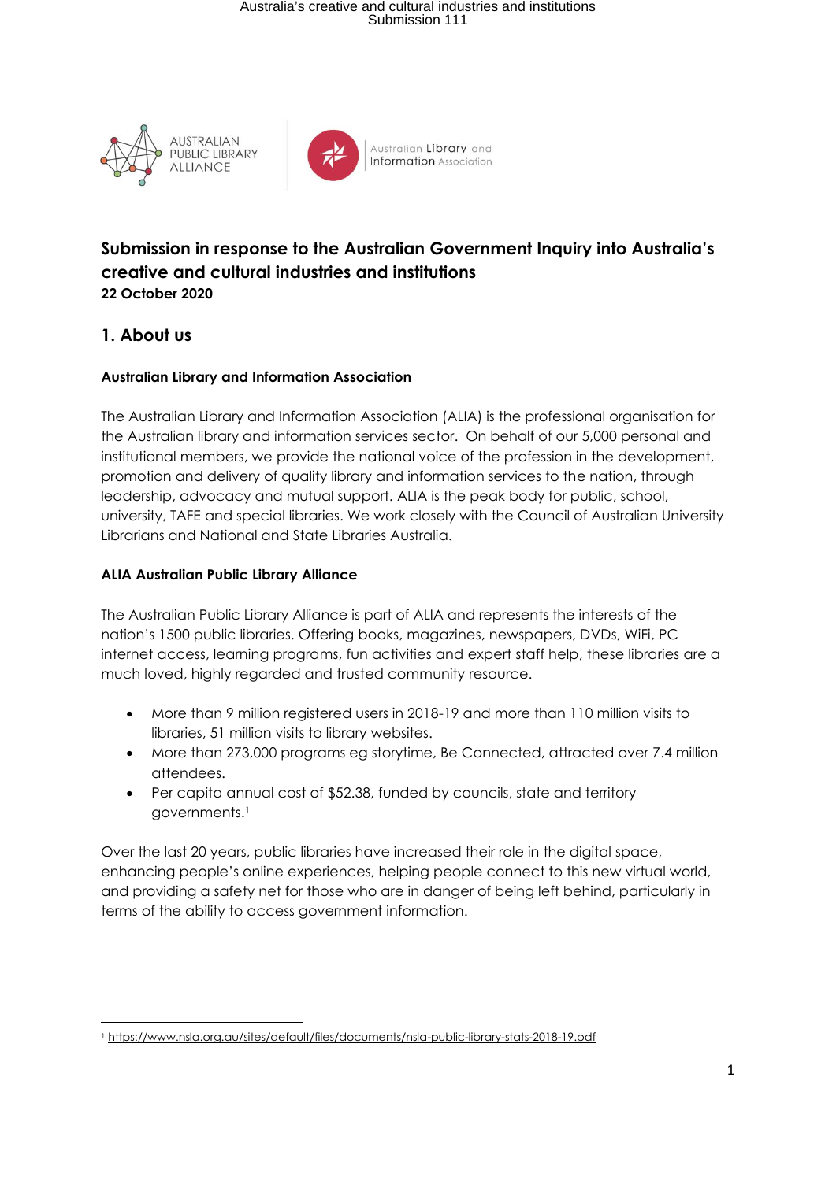# Australia's creative and cultural industries and institutions Submission 111





Australian Library and **Information** Association

## **Submission in response to the Australian Government Inquiry into Australia's creative and cultural industries and institutions 22 October 2020**

## **1. About us**

## **Australian Library and Information Association**

The Australian Library and Information Association (ALIA) is the professional organisation for the Australian library and information services sector. On behalf of our 5,000 personal and institutional members, we provide the national voice of the profession in the development, promotion and delivery of quality library and information services to the nation, through leadership, advocacy and mutual support. ALIA is the peak body for public, school, university, TAFE and special libraries. We work closely with the Council of Australian University Librarians and National and State Libraries Australia.

### **ALIA Australian Public Library Alliance**

The Australian Public Library Alliance is part of ALIA and represents the interests of the nation's 1500 public libraries. Offering books, magazines, newspapers, DVDs, WiFi, PC internet access, learning programs, fun activities and expert staff help, these libraries are a much loved, highly regarded and trusted community resource.

- More than 9 million registered users in 2018-19 and more than 110 million visits to libraries, 51 million visits to library websites.
- More than 273,000 programs eg storytime, Be Connected, attracted over 7.4 million attendees.
- Per capita annual cost of \$52.38, funded by councils, state and territory governments.<sup>1</sup>

Over the last 20 years, public libraries have increased their role in the digital space, enhancing people's online experiences, helping people connect to this new virtual world, and providing a safety net for those who are in danger of being left behind, particularly in terms of the ability to access government information.

<sup>1</sup> https://www.nsla.org.au/sites/default/files/documents/nsla-public-library-stats-2018-19.pdf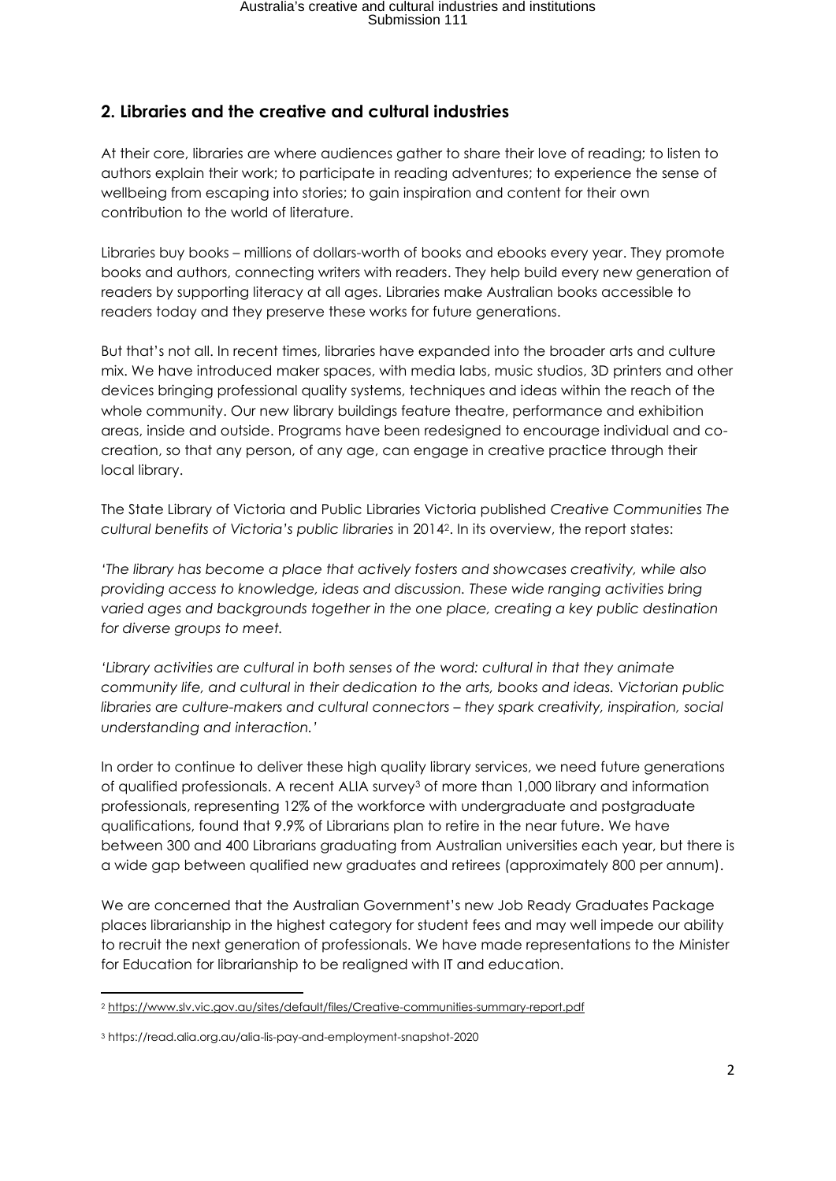## **2. Libraries and the creative and cultural industries**

At their core, libraries are where audiences gather to share their love of reading; to listen to authors explain their work; to participate in reading adventures; to experience the sense of wellbeing from escaping into stories; to gain inspiration and content for their own contribution to the world of literature.

Libraries buy books – millions of dollars-worth of books and ebooks every year. They promote books and authors, connecting writers with readers. They help build every new generation of readers by supporting literacy at all ages. Libraries make Australian books accessible to readers today and they preserve these works for future generations.

But that's not all. In recent times, libraries have expanded into the broader arts and culture mix. We have introduced maker spaces, with media labs, music studios, 3D printers and other devices bringing professional quality systems, techniques and ideas within the reach of the whole community. Our new library buildings feature theatre, performance and exhibition areas, inside and outside. Programs have been redesigned to encourage individual and cocreation, so that any person, of any age, can engage in creative practice through their local library.

The State Library of Victoria and Public Libraries Victoria published *Creative Communities The cultural benefits of Victoria's public libraries* in 20142. In its overview, the report states:

*'The library has become a place that actively fosters and showcases creativity, while also providing access to knowledge, ideas and discussion. These wide ranging activities bring varied ages and backgrounds together in the one place, creating a key public destination for diverse groups to meet.* 

*'Library activities are cultural in both senses of the word: cultural in that they animate community life, and cultural in their dedication to the arts, books and ideas. Victorian public libraries are culture-makers and cultural connectors – they spark creativity, inspiration, social understanding and interaction.'*

In order to continue to deliver these high quality library services, we need future generations of qualified professionals. A recent ALIA survey<sup>3</sup> of more than 1,000 library and information professionals, representing 12% of the workforce with undergraduate and postgraduate qualifications, found that 9.9% of Librarians plan to retire in the near future. We have between 300 and 400 Librarians graduating from Australian universities each year, but there is a wide gap between qualified new graduates and retirees (approximately 800 per annum).

We are concerned that the Australian Government's new Job Ready Graduates Package places librarianship in the highest category for student fees and may well impede our ability to recruit the next generation of professionals. We have made representations to the Minister for Education for librarianship to be realigned with IT and education.

<sup>2</sup> https://www.slv.vic.gov.au/sites/default/files/Creative-communities-summary-report.pdf

<sup>3</sup> https://read.alia.org.au/alia-lis-pay-and-employment-snapshot-2020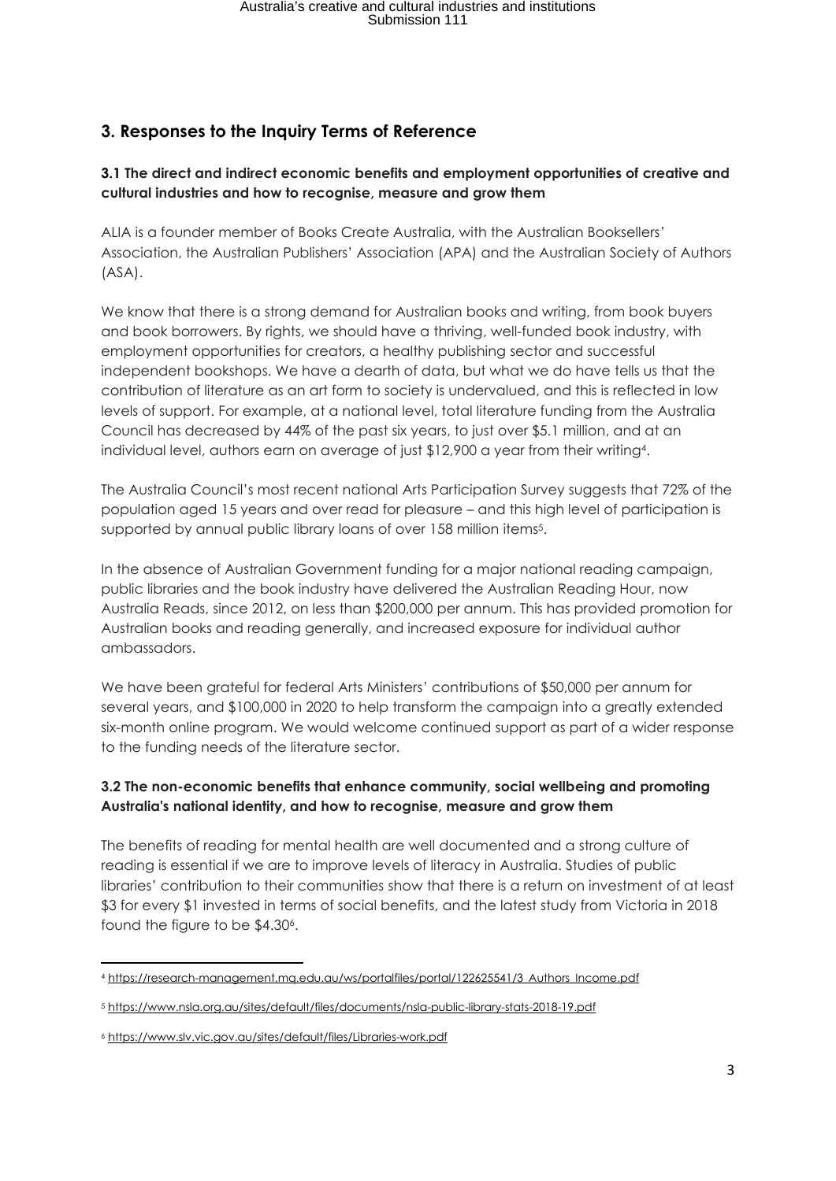# **3. Responses to the Inquiry Terms of Reference**

### **3.1 The direct and indirect economic benefits and employment opportunities of creative and cultural industries and how to recognise, measure and grow them**

ALIA is a founder member of Books Create Australia, with the Australian Booksellers' Association, the Australian Publishers' Association (APA) and the Australian Society of Authors (ASA).

We know that there is a strong demand for Australian books and writing, from book buyers and book borrowers. By rights, we should have a thriving, well-funded book industry, with employment opportunities for creators, a healthy publishing sector and successful independent bookshops. We have a dearth of data, but what we do have tells us that the contribution of literature as an art form to society is undervalued, and this is reflected in low levels of support. For example, at a national level, total literature funding from the Australia Council has decreased by 44% of the past six years, to just over \$5.1 million, and at an individual level, authors earn on average of just \$12,900 a year from their writing4.

The Australia Council's most recent national Arts Participation Survey suggests that 72% of the population aged 15 years and over read for pleasure – and this high level of participation is supported by annual public library loans of over 158 million items<sup>5</sup>.

In the absence of Australian Government funding for a major national reading campaign, public libraries and the book industry have delivered the Australian Reading Hour, now Australia Reads, since 2012, on less than \$200,000 per annum. This has provided promotion for Australian books and reading generally, and increased exposure for individual author ambassadors.

We have been grateful for federal Arts Ministers' contributions of \$50,000 per annum for several years, and \$100,000 in 2020 to help transform the campaign into a greatly extended six-month online program. We would welcome continued support as part of a wider response to the funding needs of the literature sector.

### **3.2 The non-economic benefits that enhance community, social wellbeing and promoting Australia's national identity, and how to recognise, measure and grow them**

The benefits of reading for mental health are well documented and a strong culture of reading is essential if we are to improve levels of literacy in Australia. Studies of public libraries' contribution to their communities show that there is a return on investment of at least \$3 for every \$1 invested in terms of social benefits, and the latest study from Victoria in 2018 found the figure to be \$4.30<sup>6</sup>.

<sup>4</sup> https://research-management.mq.edu.au/ws/portalfiles/portal/122625541/3 Authors Income.pdf

<sup>5</sup> https://www.nsla.org.au/sites/default/files/documents/nsla-public-library-stats-2018-19.pdf

<sup>6</sup> https://www.slv.vic.gov.au/sites/default/files/Libraries-work.pdf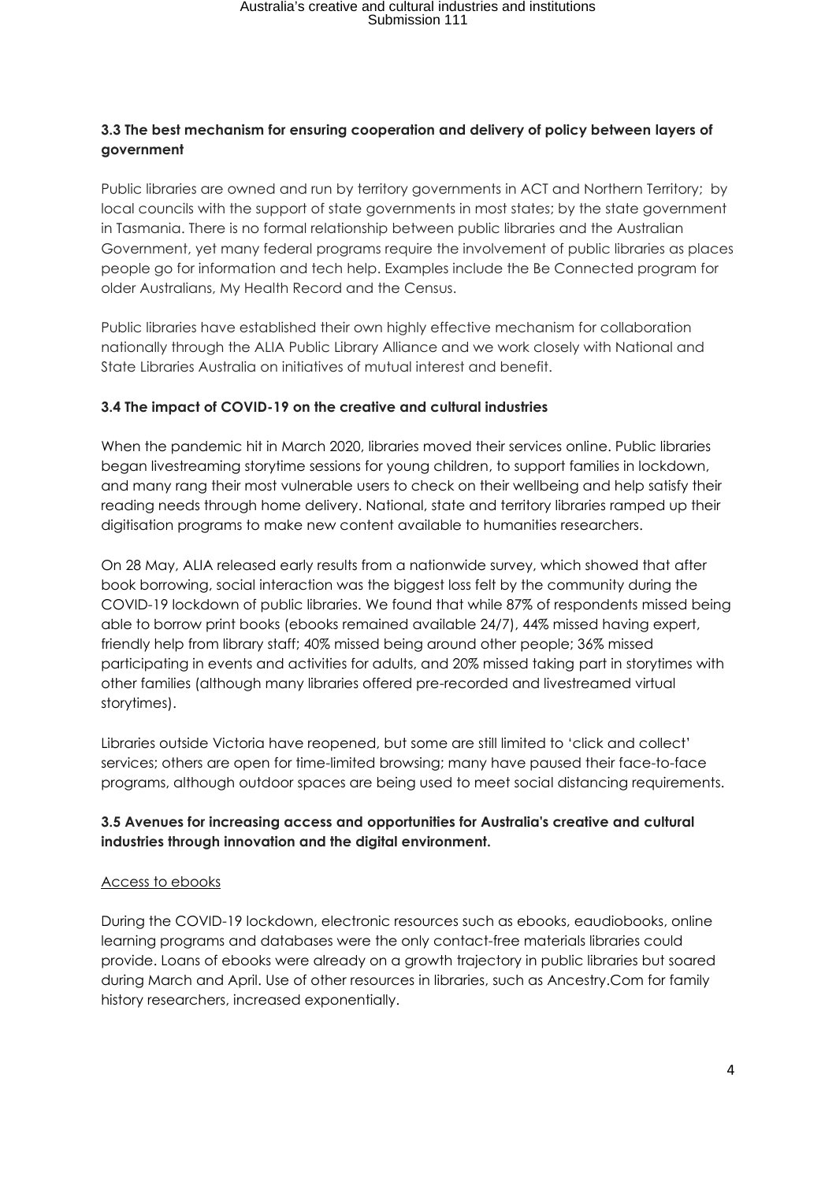### **3.3 The best mechanism for ensuring cooperation and delivery of policy between layers of government**

Public libraries are owned and run by territory governments in ACT and Northern Territory; by local councils with the support of state governments in most states; by the state government in Tasmania. There is no formal relationship between public libraries and the Australian Government, yet many federal programs require the involvement of public libraries as places people go for information and tech help. Examples include the Be Connected program for older Australians, My Health Record and the Census.

Public libraries have established their own highly effective mechanism for collaboration nationally through the ALIA Public Library Alliance and we work closely with National and State Libraries Australia on initiatives of mutual interest and benefit.

#### **3.4 The impact of COVID-19 on the creative and cultural industries**

When the pandemic hit in March 2020, libraries moved their services online. Public libraries began livestreaming storytime sessions for young children, to support families in lockdown, and many rang their most vulnerable users to check on their wellbeing and help satisfy their reading needs through home delivery. National, state and territory libraries ramped up their digitisation programs to make new content available to humanities researchers.

On 28 May, ALIA released early results from a nationwide survey, which showed that after book borrowing, social interaction was the biggest loss felt by the community during the COVID-19 lockdown of public libraries. We found that while 87% of respondents missed being able to borrow print books (ebooks remained available 24/7), 44% missed having expert, friendly help from library staff; 40% missed being around other people; 36% missed participating in events and activities for adults, and 20% missed taking part in storytimes with other families (although many libraries offered pre-recorded and livestreamed virtual storytimes).

Libraries outside Victoria have reopened, but some are still limited to 'click and collect' services; others are open for time-limited browsing; many have paused their face-to-face programs, although outdoor spaces are being used to meet social distancing requirements.

### **3.5 Avenues for increasing access and opportunities for Australia's creative and cultural industries through innovation and the digital environment.**

#### Access to ebooks

During the COVID-19 lockdown, electronic resources such as ebooks, eaudiobooks, online learning programs and databases were the only contact-free materials libraries could provide. Loans of ebooks were already on a growth trajectory in public libraries but soared during March and April. Use of other resources in libraries, such as Ancestry.Com for family history researchers, increased exponentially.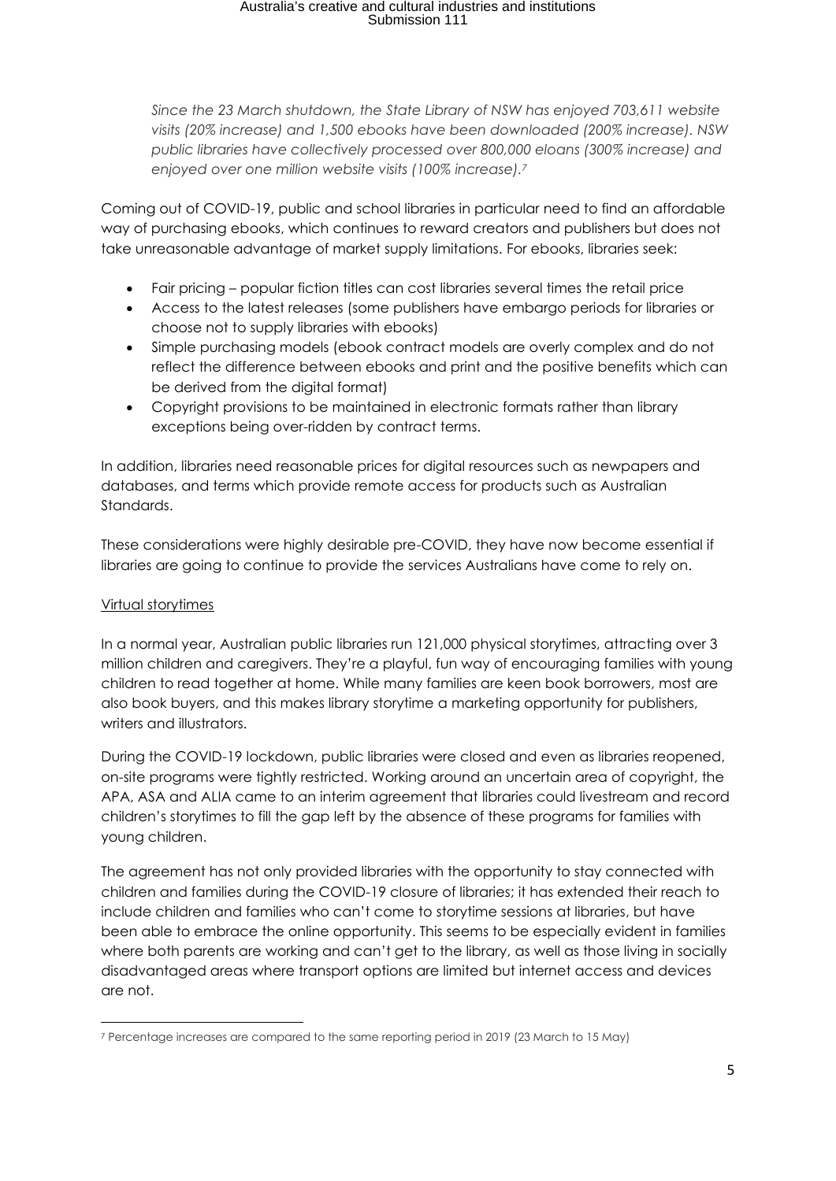# Australia's creative and cultural industries and institutions Submission 111

*Since the 23 March shutdown, the State Library of NSW has enjoyed 703,611 website visits (20% increase) and 1,500 ebooks have been downloaded (200% increase). NSW public libraries have collectively processed over 800,000 eloans (300% increase) and enjoyed over one million website visits (100% increase). 7* 

Coming out of COVID-19, public and school libraries in particular need to find an affordable way of purchasing ebooks, which continues to reward creators and publishers but does not take unreasonable advantage of market supply limitations. For ebooks, libraries seek:

- Fair pricing popular fiction titles can cost libraries several times the retail price
- Access to the latest releases (some publishers have embargo periods for libraries or choose not to supply libraries with ebooks)
- Simple purchasing models (ebook contract models are overly complex and do not reflect the difference between ebooks and print and the positive benefits which can be derived from the digital format)
- Copyright provisions to be maintained in electronic formats rather than library exceptions being over-ridden by contract terms.

In addition, libraries need reasonable prices for digital resources such as newpapers and databases, and terms which provide remote access for products such as Australian Standards.

These considerations were highly desirable pre-COVID, they have now become essential if libraries are going to continue to provide the services Australians have come to rely on.

## Virtual storytimes

In a normal year, Australian public libraries run 121,000 physical storytimes, attracting over 3 million children and caregivers. They're a playful, fun way of encouraging families with young children to read together at home. While many families are keen book borrowers, most are also book buyers, and this makes library storytime a marketing opportunity for publishers, writers and illustrators.

During the COVID-19 lockdown, public libraries were closed and even as libraries reopened, on-site programs were tightly restricted. Working around an uncertain area of copyright, the APA, ASA and ALIA came to an interim agreement that libraries could livestream and record children's storytimes to fill the gap left by the absence of these programs for families with young children.

The agreement has not only provided libraries with the opportunity to stay connected with children and families during the COVID-19 closure of libraries; it has extended their reach to include children and families who can't come to storytime sessions at libraries, but have been able to embrace the online opportunity. This seems to be especially evident in families where both parents are working and can't get to the library, as well as those living in socially disadvantaged areas where transport options are limited but internet access and devices are not.

<sup>7</sup> Percentage increases are compared to the same reporting period in 2019 (23 March to 15 May)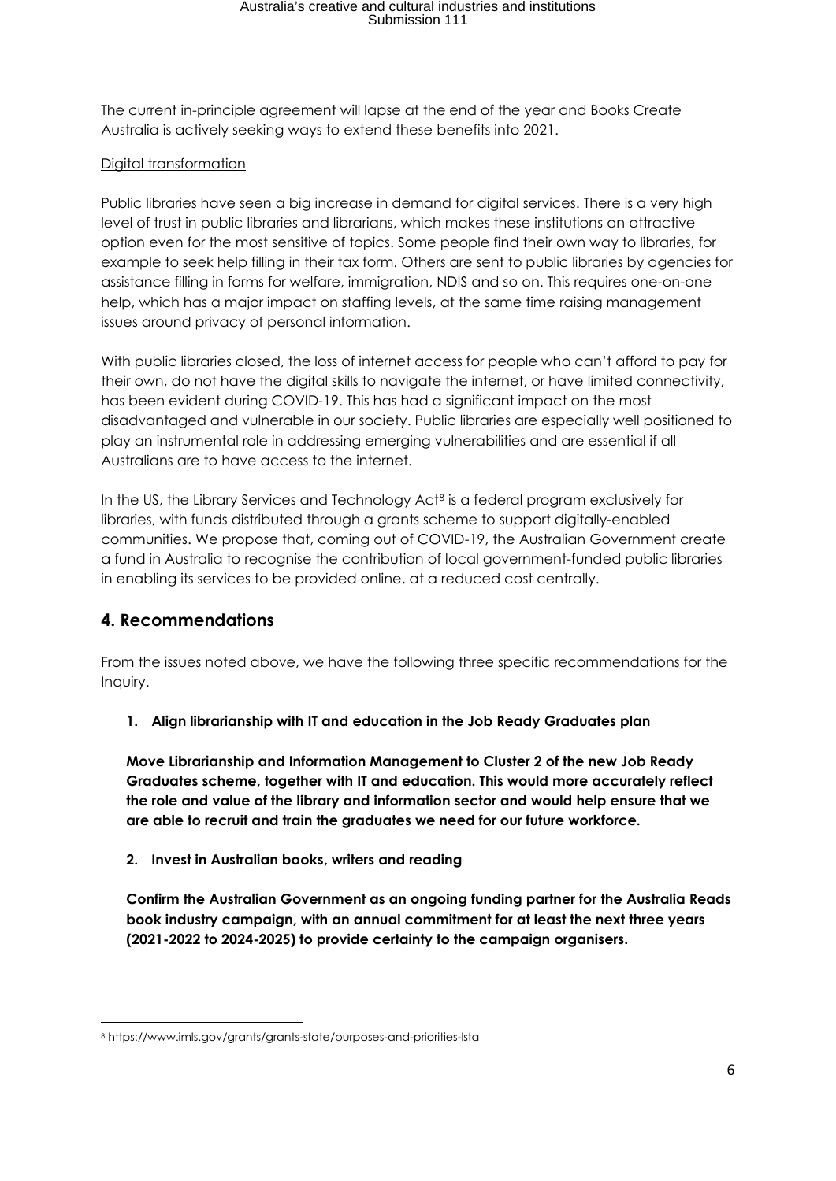# Australia's creative and cultural industries and institutions Submission 111

The current in-principle agreement will lapse at the end of the year and Books Create Australia is actively seeking ways to extend these benefits into 2021.

## Digital transformation

Public libraries have seen a big increase in demand for digital services. There is a very high level of trust in public libraries and librarians, which makes these institutions an attractive option even for the most sensitive of topics. Some people find their own way to libraries, for example to seek help filling in their tax form. Others are sent to public libraries by agencies for assistance filling in forms for welfare, immigration, NDIS and so on. This requires one-on-one help, which has a major impact on staffing levels, at the same time raising management issues around privacy of personal information.

With public libraries closed, the loss of internet access for people who can't afford to pay for their own, do not have the digital skills to navigate the internet, or have limited connectivity, has been evident during COVID-19. This has had a significant impact on the most disadvantaged and vulnerable in our society. Public libraries are especially well positioned to play an instrumental role in addressing emerging vulnerabilities and are essential if all Australians are to have access to the internet.

In the US, the Library Services and Technology Act<sup>8</sup> is a federal program exclusively for libraries, with funds distributed through a grants scheme to support digitally-enabled communities. We propose that, coming out of COVID-19, the Australian Government create a fund in Australia to recognise the contribution of local government-funded public libraries in enabling its services to be provided online, at a reduced cost centrally.

## **4. Recommendations**

From the issues noted above, we have the following three specific recommendations for the Inquiry.

**1. Align librarianship with IT and education in the Job Ready Graduates plan**

**Move Librarianship and Information Management to Cluster 2 of the new Job Ready Graduates scheme, together with IT and education. This would more accurately reflect the role and value of the library and information sector and would help ensure that we are able to recruit and train the graduates we need for our future workforce.**

#### **2. Invest in Australian books, writers and reading**

**Confirm the Australian Government as an ongoing funding partner for the Australia Reads book industry campaign, with an annual commitment for at least the next three years (2021-2022 to 2024-2025) to provide certainty to the campaign organisers.**

<sup>8</sup> https://www.imls.gov/grants/grants-state/purposes-and-priorities-lsta